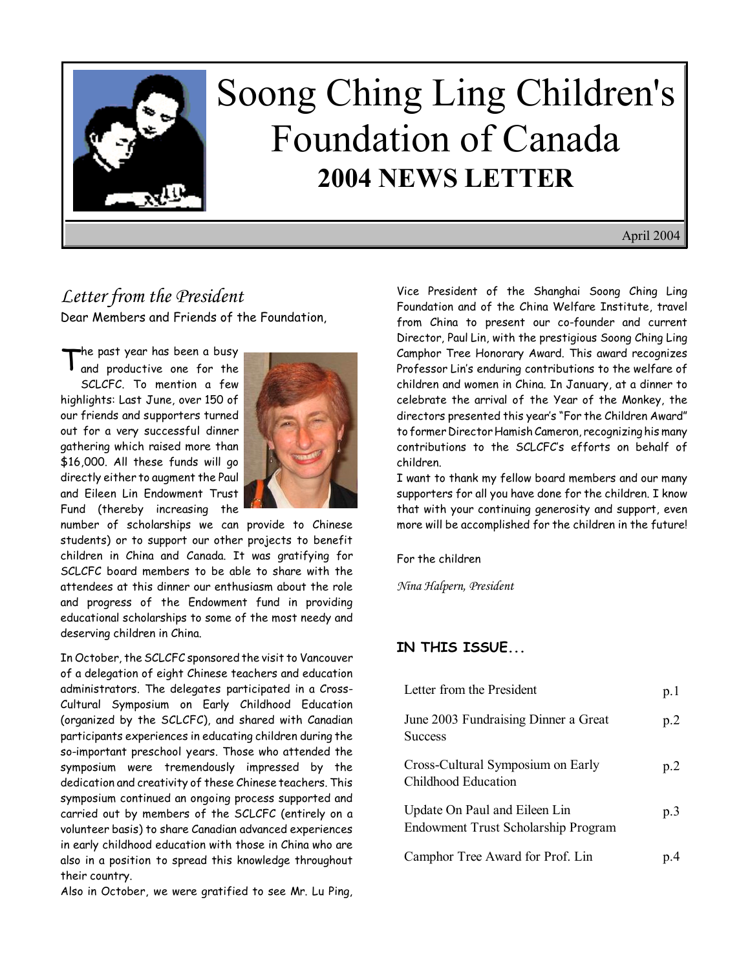

# Soong Ching Ling Children's Foundation of Canada **2004 NEWS LETTER**

April 2004

## *Letter from the President*

Dear Members and Friends of the Foundation,

The past year has been a busy<br>and productive one for the SCLCFC. To mention a few highlights: Last June, over 150 of our friends and supporters turned out for a very successful dinner gathering which raised more than \$16,000. All these funds will go directly either to augment the Paul and Eileen Lin Endowment Trust Fund (thereby increasing the



number of scholarships we can provide to Chinese students) or to support our other projects to benefit children in China and Canada. It was gratifying for SCLCFC board members to be able to share with the attendees at this dinner our enthusiasm about the role and progress of the Endowment fund in providing educational scholarships to some of the most needy and deserving children in China.

In October, the SCLCFC sponsored the visit to Vancouver of a delegation of eight Chinese teachers and education administrators. The delegates participated in a Cross-Cultural Symposium on Early Childhood Education (organized by the SCLCFC), and shared with Canadian participants experiences in educating children during the so-important preschool years. Those who attended the symposium were tremendously impressed by the dedication and creativity of these Chinese teachers. This symposium continued an ongoing process supported and carried out by members of the SCLCFC (entirely on a volunteer basis) to share Canadian advanced experiences in early childhood education with those in China who are also in a position to spread this knowledge throughout their country.

Also in October, we were gratified to see Mr. Lu Ping,

Vice President of the Shanghai Soong Ching Ling Foundation and of the China Welfare Institute, travel from China to present our co-founder and current Director, Paul Lin, with the prestigious Soong Ching Ling Camphor Tree Honorary Award. This award recognizes Professor Lin's enduring contributions to the welfare of children and women in China. In January, at a dinner to celebrate the arrival of the Year of the Monkey, the directors presented this year's "For the Children Award" to former Director Hamish Cameron, recognizing his many contributions to the SCLCFC's efforts on behalf of children.

I want to thank my fellow board members and our many supporters for all you have done for the children. I know that with your continuing generosity and support, even more will be accomplished for the children in the future!

For the children

*Nina Halpern, President*

#### **IN THIS ISSUE...**

| Letter from the President                                            | p.1 |
|----------------------------------------------------------------------|-----|
| June 2003 Fundraising Dinner a Great<br><b>Success</b>               | p.2 |
| Cross-Cultural Symposium on Early<br>Childhood Education             | p.2 |
| Update On Paul and Eileen Lin<br>Endowment Trust Scholarship Program | p.3 |
| Camphor Tree Award for Prof. Lin                                     |     |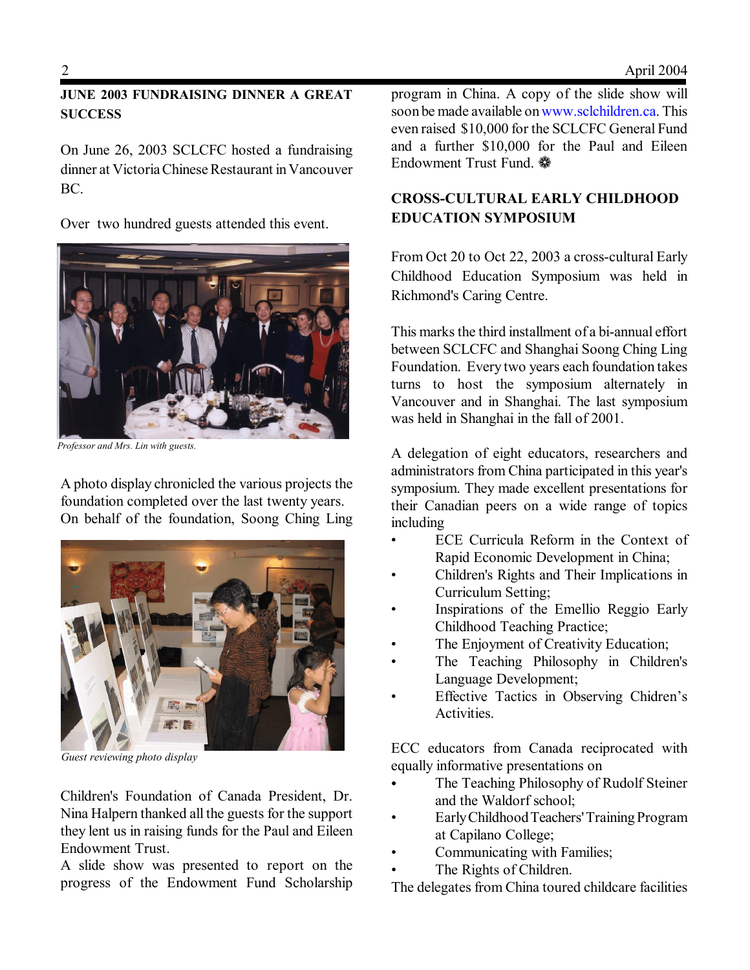#### **JUNE 2003 FUNDRAISING DINNER A GREAT SUCCESS**

On June 26, 2003 SCLCFC hosted a fundraising dinner at Victoria Chinese Restaurant in Vancouver BC.

Over two hundred guests attended this event.



*Professor and Mrs. Lin with guests.*

A photo display chronicled the various projects the foundation completed over the last twenty years. On behalf of the foundation, Soong Ching Ling



*Guest reviewing photo display*

Children's Foundation of Canada President, Dr. Nina Halpern thanked all the guests for the support they lent us in raising funds for the Paul and Eileen Endowment Trust.

A slide show was presented to report on the progress of the Endowment Fund Scholarship program in China. A copy of the slide show will soon be made available on www.sclchildren.ca. This even raised \$10,000 for the SCLCFC General Fund and a further \$10,000 for the Paul and Eileen Endowment Trust Fund. **※** 

### **CROSS-CULTURAL EARLY CHILDHOOD EDUCATION SYMPOSIUM**

From Oct 20 to Oct 22, 2003 a cross-cultural Early Childhood Education Symposium was held in Richmond's Caring Centre.

This marks the third installment of a bi-annual effort between SCLCFC and Shanghai Soong Ching Ling Foundation. Every two years each foundation takes turns to host the symposium alternately in Vancouver and in Shanghai. The last symposium was held in Shanghai in the fall of 2001.

A delegation of eight educators, researchers and administrators from China participated in this year's symposium. They made excellent presentations for their Canadian peers on a wide range of topics including

- ECE Curricula Reform in the Context of Rapid Economic Development in China;
- Children's Rights and Their Implications in Curriculum Setting;
- Inspirations of the Emellio Reggio Early Childhood Teaching Practice;
- The Enjoyment of Creativity Education;
- The Teaching Philosophy in Children's Language Development;
- Effective Tactics in Observing Chidren's Activities.

ECC educators from Canada reciprocated with equally informative presentations on

- The Teaching Philosophy of Rudolf Steiner and the Waldorf school;
- Early Childhood Teachers' Training Program at Capilano College;
- Communicating with Families;
- The Rights of Children.

The delegates from China toured childcare facilities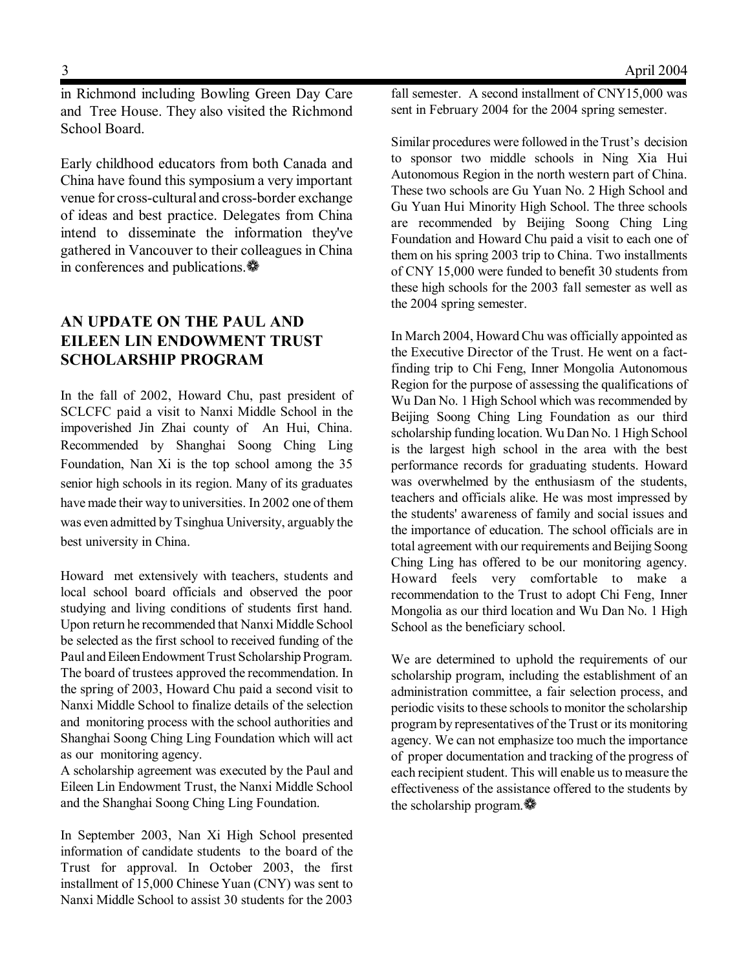in Richmond including Bowling Green Day Care and Tree House. They also visited the Richmond School Board.

Early childhood educators from both Canada and China have found this symposium a very important venue for cross-cultural and cross-border exchange of ideas and best practice. Delegates from China intend to disseminate the information they've gathered in Vancouver to their colleagues in China in conferences and publications.  $\clubsuit$ 

### **AN UPDATE ON THE PAUL AND EILEEN LIN ENDOWMENT TRUST SCHOLARSHIP PROGRAM**

In the fall of 2002, Howard Chu, past president of SCLCFC paid a visit to Nanxi Middle School in the impoverished Jin Zhai county of An Hui, China. Recommended by Shanghai Soong Ching Ling Foundation, Nan Xi is the top school among the 35 senior high schools in its region. Many of its graduates have made their way to universities. In 2002 one of them was even admitted by Tsinghua University, arguably the best university in China.

Howard met extensively with teachers, students and local school board officials and observed the poor studying and living conditions of students first hand. Upon return he recommended that Nanxi Middle School be selected as the first school to received funding of the Paul and Eileen Endowment Trust Scholarship Program. The board of trustees approved the recommendation. In the spring of 2003, Howard Chu paid a second visit to Nanxi Middle School to finalize details of the selection and monitoring process with the school authorities and Shanghai Soong Ching Ling Foundation which will act as our monitoring agency.

A scholarship agreement was executed by the Paul and Eileen Lin Endowment Trust, the Nanxi Middle School and the Shanghai Soong Ching Ling Foundation.

In September 2003, Nan Xi High School presented information of candidate students to the board of the Trust for approval. In October 2003, the first installment of 15,000 Chinese Yuan (CNY) was sent to Nanxi Middle School to assist 30 students for the 2003

fall semester. A second installment of CNY15,000 was sent in February 2004 for the 2004 spring semester.

Similar procedures were followed in the Trust's decision to sponsor two middle schools in Ning Xia Hui Autonomous Region in the north western part of China. These two schools are Gu Yuan No. 2 High School and Gu Yuan Hui Minority High School. The three schools are recommended by Beijing Soong Ching Ling Foundation and Howard Chu paid a visit to each one of them on his spring 2003 trip to China. Two installments of CNY 15,000 were funded to benefit 30 students from these high schools for the 2003 fall semester as well as the 2004 spring semester.

In March 2004, Howard Chu was officially appointed as the Executive Director of the Trust. He went on a factfinding trip to Chi Feng, Inner Mongolia Autonomous Region for the purpose of assessing the qualifications of Wu Dan No. 1 High School which was recommended by Beijing Soong Ching Ling Foundation as our third scholarship funding location. Wu Dan No. 1 High School is the largest high school in the area with the best performance records for graduating students. Howard was overwhelmed by the enthusiasm of the students, teachers and officials alike. He was most impressed by the students' awareness of family and social issues and the importance of education. The school officials are in total agreement with our requirements and Beijing Soong Ching Ling has offered to be our monitoring agency. Howard feels very comfortable to make a recommendation to the Trust to adopt Chi Feng, Inner Mongolia as our third location and Wu Dan No. 1 High School as the beneficiary school.

We are determined to uphold the requirements of our scholarship program, including the establishment of an administration committee, a fair selection process, and periodic visits to these schools to monitor the scholarship program by representatives of the Trust or its monitoring agency. We can not emphasize too much the importance of proper documentation and tracking of the progress of each recipient student. This will enable us to measure the effectiveness of the assistance offered to the students by the scholarship program.ƒ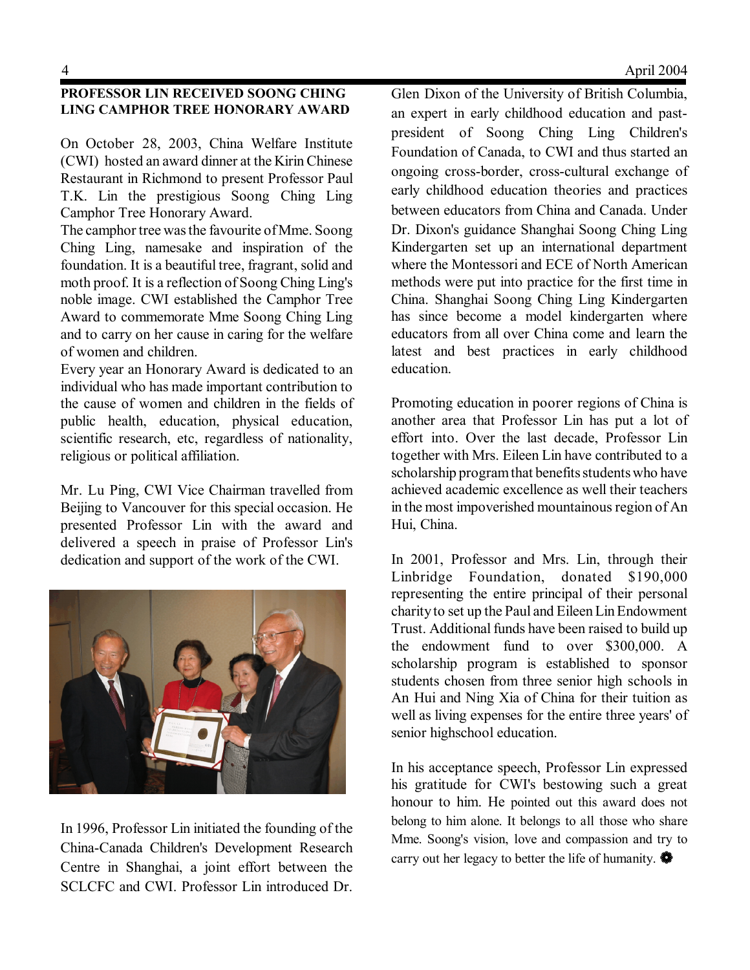#### **PROFESSOR LIN RECEIVED SOONG CHING LING CAMPHOR TREE HONORARY AWARD**

On October 28, 2003, China Welfare Institute (CWI) hosted an award dinner at the Kirin Chinese Restaurant in Richmond to present Professor Paul T.K. Lin the prestigious Soong Ching Ling Camphor Tree Honorary Award.

The camphor tree was the favourite of Mme. Soong Ching Ling, namesake and inspiration of the foundation. It is a beautiful tree, fragrant, solid and moth proof. It is a reflection of Soong Ching Ling's noble image. CWI established the Camphor Tree Award to commemorate Mme Soong Ching Ling and to carry on her cause in caring for the welfare of women and children.

Every year an Honorary Award is dedicated to an individual who has made important contribution to the cause of women and children in the fields of public health, education, physical education, scientific research, etc, regardless of nationality, religious or political affiliation.

Mr. Lu Ping, CWI Vice Chairman travelled from Beijing to Vancouver for this special occasion. He presented Professor Lin with the award and delivered a speech in praise of Professor Lin's dedication and support of the work of the CWI.



In 1996, Professor Lin initiated the founding of the China-Canada Children's Development Research Centre in Shanghai, a joint effort between the SCLCFC and CWI. Professor Lin introduced Dr.

Glen Dixon of the University of British Columbia, an expert in early childhood education and pastpresident of Soong Ching Ling Children's Foundation of Canada, to CWI and thus started an ongoing cross-border, cross-cultural exchange of early childhood education theories and practices between educators from China and Canada. Under Dr. Dixon's guidance Shanghai Soong Ching Ling Kindergarten set up an international department where the Montessori and ECE of North American methods were put into practice for the first time in China. Shanghai Soong Ching Ling Kindergarten has since become a model kindergarten where educators from all over China come and learn the latest and best practices in early childhood education.

Promoting education in poorer regions of China is another area that Professor Lin has put a lot of effort into. Over the last decade, Professor Lin together with Mrs. Eileen Lin have contributed to a scholarship program that benefits students who have achieved academic excellence as well their teachers in the most impoverished mountainous region of An Hui, China.

In 2001, Professor and Mrs. Lin, through their Linbridge Foundation, donated \$190,000 representing the entire principal of their personal charity to set up the Paul and Eileen Lin Endowment Trust. Additional funds have been raised to build up the endowment fund to over \$300,000. A scholarship program is established to sponsor students chosen from three senior high schools in An Hui and Ning Xia of China for their tuition as well as living expenses for the entire three years' of senior highschool education.

In his acceptance speech, Professor Lin expressed his gratitude for CWI's bestowing such a great honour to him. He pointed out this award does not belong to him alone. It belongs to all those who share Mme. Soong's vision, love and compassion and try to carry out her legacy to better the life of humanity.  $\bullet$